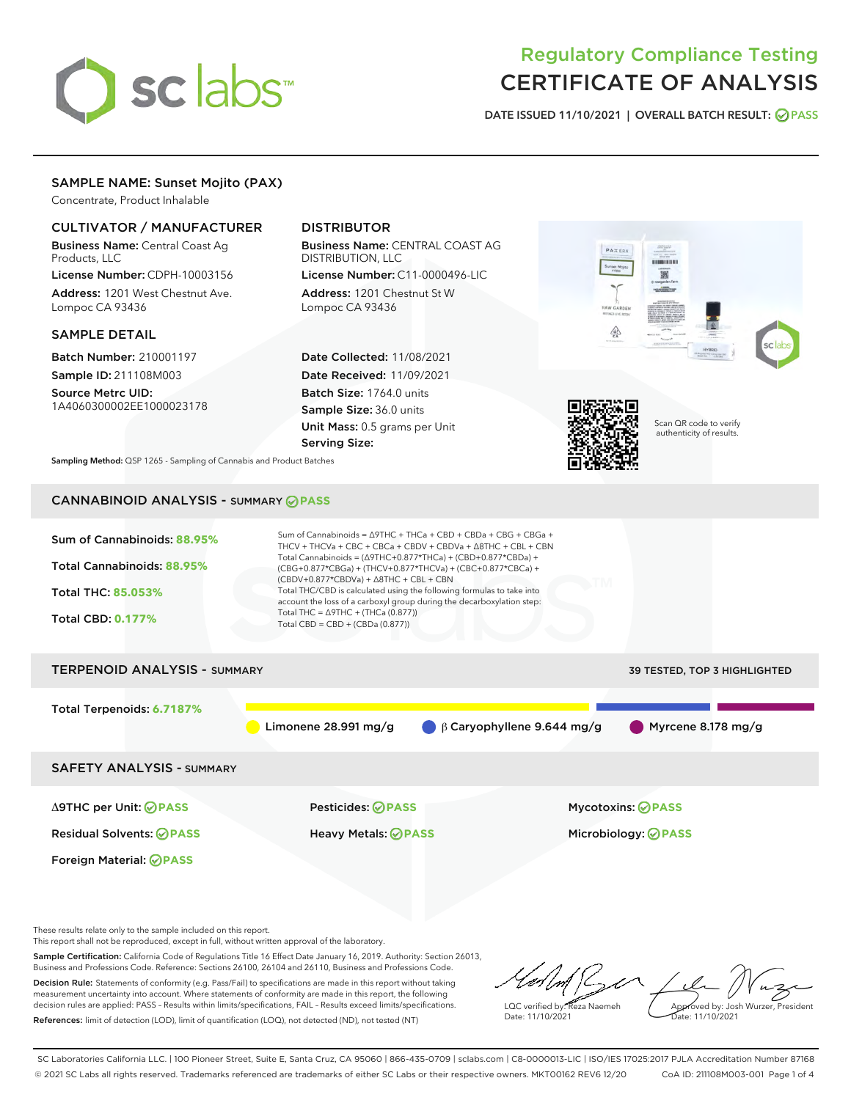# sclabs

# Regulatory Compliance Testing CERTIFICATE OF ANALYSIS

DATE ISSUED 11/10/2021 | OVERALL BATCH RESULT: @ PASS

# SAMPLE NAME: Sunset Mojito (PAX)

Concentrate, Product Inhalable

# CULTIVATOR / MANUFACTURER

Business Name: Central Coast Ag Products, LLC

License Number: CDPH-10003156 Address: 1201 West Chestnut Ave. Lompoc CA 93436

#### SAMPLE DETAIL

Batch Number: 210001197 Sample ID: 211108M003

Source Metrc UID: 1A4060300002EE1000023178

# DISTRIBUTOR

Business Name: CENTRAL COAST AG DISTRIBUTION, LLC License Number: C11-0000496-LIC

Address: 1201 Chestnut St W Lompoc CA 93436

Date Collected: 11/08/2021 Date Received: 11/09/2021 Batch Size: 1764.0 units Sample Size: 36.0 units Unit Mass: 0.5 grams per Unit Serving Size:





Scan QR code to verify authenticity of results.

Sampling Method: QSP 1265 - Sampling of Cannabis and Product Batches

# CANNABINOID ANALYSIS - SUMMARY **PASS**



Δ9THC per Unit: **PASS** Pesticides: **PASS** Mycotoxins: **PASS**

Foreign Material: **PASS**

Residual Solvents: **PASS** Heavy Metals: **PASS** Microbiology: **PASS**

These results relate only to the sample included on this report.

This report shall not be reproduced, except in full, without written approval of the laboratory.

Sample Certification: California Code of Regulations Title 16 Effect Date January 16, 2019. Authority: Section 26013, Business and Professions Code. Reference: Sections 26100, 26104 and 26110, Business and Professions Code. Decision Rule: Statements of conformity (e.g. Pass/Fail) to specifications are made in this report without taking

measurement uncertainty into account. Where statements of conformity are made in this report, the following decision rules are applied: PASS – Results within limits/specifications, FAIL – Results exceed limits/specifications. References: limit of detection (LOD), limit of quantification (LOQ), not detected (ND), not tested (NT)

LQC verified by: Reza Naemeh Date: 11/10/2021 Approved by: Josh Wurzer, President Date: 11/10/2021

SC Laboratories California LLC. | 100 Pioneer Street, Suite E, Santa Cruz, CA 95060 | 866-435-0709 | sclabs.com | C8-0000013-LIC | ISO/IES 17025:2017 PJLA Accreditation Number 87168 © 2021 SC Labs all rights reserved. Trademarks referenced are trademarks of either SC Labs or their respective owners. MKT00162 REV6 12/20 CoA ID: 211108M003-001 Page 1 of 4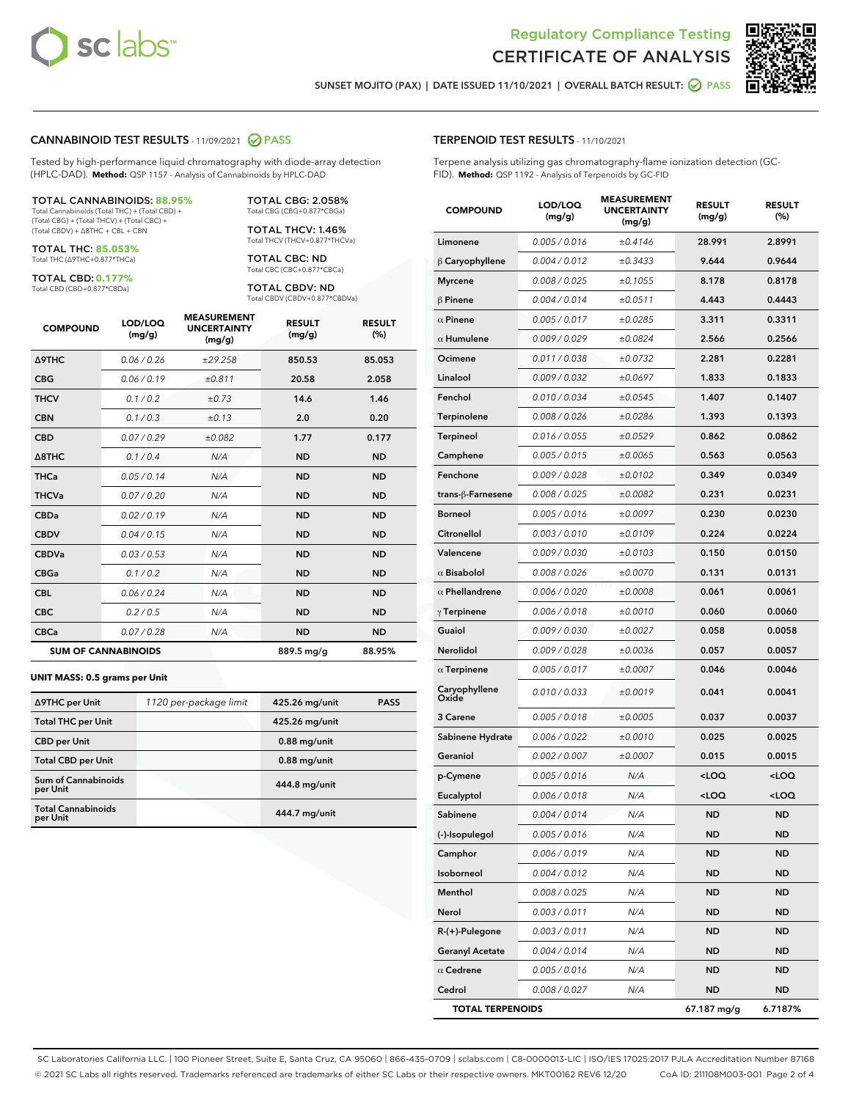



SUNSET MOJITO (PAX) | DATE ISSUED 11/10/2021 | OVERALL BATCH RESULT: 2 PASS

#### CANNABINOID TEST RESULTS - 11/09/2021 2 PASS

Tested by high-performance liquid chromatography with diode-array detection (HPLC-DAD). **Method:** QSP 1157 - Analysis of Cannabinoids by HPLC-DAD

#### TOTAL CANNABINOIDS: **88.95%**

Total Cannabinoids (Total THC) + (Total CBD) + (Total CBG) + (Total THCV) + (Total CBC) + (Total CBDV) + ∆8THC + CBL + CBN

TOTAL THC: **85.053%** Total THC (∆9THC+0.877\*THCa)

TOTAL CBD: **0.177%**

Total CBD (CBD+0.877\*CBDa)

TOTAL CBG: 2.058% Total CBG (CBG+0.877\*CBGa)

TOTAL THCV: 1.46% Total THCV (THCV+0.877\*THCVa)

TOTAL CBC: ND Total CBC (CBC+0.877\*CBCa)

TOTAL CBDV: ND Total CBDV (CBDV+0.877\*CBDVa)

| <b>COMPOUND</b>            | LOD/LOQ<br>(mg/g) | <b>MEASUREMENT</b><br><b>UNCERTAINTY</b><br>(mg/g) | <b>RESULT</b><br>(mg/g) | <b>RESULT</b><br>(%) |
|----------------------------|-------------------|----------------------------------------------------|-------------------------|----------------------|
| <b>A9THC</b>               | 0.06 / 0.26       | ±29.258                                            | 850.53                  | 85.053               |
| <b>CBG</b>                 | 0.06/0.19         | ±0.811                                             | 20.58                   | 2.058                |
| <b>THCV</b>                | 0.1/0.2           | ±0.73                                              | 14.6                    | 1.46                 |
| <b>CBN</b>                 | 0.1/0.3           | ±0.13                                              | 2.0                     | 0.20                 |
| <b>CBD</b>                 | 0.07/0.29         | ±0.082                                             | 1.77                    | 0.177                |
| $\triangle$ 8THC           | 0.1/0.4           | N/A                                                | <b>ND</b>               | <b>ND</b>            |
| <b>THCa</b>                | 0.05/0.14         | N/A                                                | <b>ND</b>               | <b>ND</b>            |
| <b>THCVa</b>               | 0.07 / 0.20       | N/A                                                | <b>ND</b>               | <b>ND</b>            |
| <b>CBDa</b>                | 0.02/0.19         | N/A                                                | <b>ND</b>               | <b>ND</b>            |
| <b>CBDV</b>                | 0.04 / 0.15       | N/A                                                | <b>ND</b>               | <b>ND</b>            |
| <b>CBDVa</b>               | 0.03/0.53         | N/A                                                | <b>ND</b>               | <b>ND</b>            |
| <b>CBGa</b>                | 0.1 / 0.2         | N/A                                                | <b>ND</b>               | <b>ND</b>            |
| <b>CBL</b>                 | 0.06 / 0.24       | N/A                                                | <b>ND</b>               | <b>ND</b>            |
| <b>CBC</b>                 | 0.2 / 0.5         | N/A                                                | <b>ND</b>               | <b>ND</b>            |
| <b>CBCa</b>                | 0.07 / 0.28       | N/A                                                | <b>ND</b>               | <b>ND</b>            |
| <b>SUM OF CANNABINOIDS</b> |                   |                                                    | 889.5 mg/g              | 88.95%               |

#### **UNIT MASS: 0.5 grams per Unit**

| ∆9THC per Unit                        | 1120 per-package limit | 425.26 mg/unit | <b>PASS</b> |
|---------------------------------------|------------------------|----------------|-------------|
| <b>Total THC per Unit</b>             |                        | 425.26 mg/unit |             |
| <b>CBD</b> per Unit                   |                        | $0.88$ mg/unit |             |
| <b>Total CBD per Unit</b>             |                        | $0.88$ mg/unit |             |
| Sum of Cannabinoids<br>per Unit       |                        | 444.8 mg/unit  |             |
| <b>Total Cannabinoids</b><br>per Unit |                        | 444.7 mg/unit  |             |

| <b>COMPOUND</b>         | LOD/LOQ<br>(mg/g) | ASUREIVI<br><b>UNCERTAINTY</b><br>(mg/g) | <b>RESULT</b><br>(mg/g)                         | <b>RESULT</b><br>$(\%)$ |
|-------------------------|-------------------|------------------------------------------|-------------------------------------------------|-------------------------|
| Limonene                | 0.005 / 0.016     | ±0.4146                                  | 28.991                                          | 2.8991                  |
| $\beta$ Caryophyllene   | 0.004 / 0.012     | ±0.3433                                  | 9.644                                           | 0.9644                  |
| <b>Myrcene</b>          | 0.008 / 0.025     | ±0.1055                                  | 8.178                                           | 0.8178                  |
| $\beta$ Pinene          | 0.004 / 0.014     | ±0.0511                                  | 4.443                                           | 0.4443                  |
| $\alpha$ Pinene         | 0.005 / 0.017     | ±0.0285                                  | 3.311                                           | 0.3311                  |
| $\alpha$ Humulene       | 0.009 / 0.029     | ±0.0824                                  | 2.566                                           | 0.2566                  |
| Ocimene                 | 0.011 / 0.038     | ±0.0732                                  | 2.281                                           | 0.2281                  |
| Linalool                | 0.009 / 0.032     | ±0.0697                                  | 1.833                                           | 0.1833                  |
| Fenchol                 | 0.010 / 0.034     | ±0.0545                                  | 1.407                                           | 0.1407                  |
| Terpinolene             | 0.008 / 0.026     | ±0.0286                                  | 1.393                                           | 0.1393                  |
| Terpineol               | 0.016 / 0.055     | ±0.0529                                  | 0.862                                           | 0.0862                  |
| Camphene                | 0.005 / 0.015     | ±0.0065                                  | 0.563                                           | 0.0563                  |
| Fenchone                | 0.009 / 0.028     | ±0.0102                                  | 0.349                                           | 0.0349                  |
| trans-ß-Farnesene       | 0.008 / 0.025     | ±0.0082                                  | 0.231                                           | 0.0231                  |
| <b>Borneol</b>          | 0.005 / 0.016     | ±0.0097                                  | 0.230                                           | 0.0230                  |
| Citronellol             | 0.003 / 0.010     | ±0.0109                                  | 0.224                                           | 0.0224                  |
| Valencene               | 0.009 / 0.030     | ±0.0103                                  | 0.150                                           | 0.0150                  |
| $\alpha$ Bisabolol      | 0.008 / 0.026     | ±0.0070                                  | 0.131                                           | 0.0131                  |
| $\alpha$ Phellandrene   | 0.006 / 0.020     | ±0.0008                                  | 0.061                                           | 0.0061                  |
| $\gamma$ Terpinene      | 0.006 / 0.018     | ±0.0010                                  | 0.060                                           | 0.0060                  |
| Guaiol                  | 0.009 / 0.030     | ±0.0027                                  | 0.058                                           | 0.0058                  |
| Nerolidol               | 0.009 / 0.028     | ±0.0036                                  | 0.057                                           | 0.0057                  |
| $\alpha$ Terpinene      | 0.005 / 0.017     | ±0.0007                                  | 0.046                                           | 0.0046                  |
| Caryophyllene<br>Oxide  | 0.010 / 0.033     | ±0.0019                                  | 0.041                                           | 0.0041                  |
| 3 Carene                | 0.005 / 0.018     | ±0.0005                                  | 0.037                                           | 0.0037                  |
| Sabinene Hydrate        | 0.006 / 0.022     | ±0.0010                                  | 0.025                                           | 0.0025                  |
| Geraniol                | 0.002 / 0.007     | ±0.0007                                  | 0.015                                           | 0.0015                  |
| p-Cymene                | 0.005 / 0.016     | N/A                                      | <loq< th=""><th><loq< th=""></loq<></th></loq<> | <loq< th=""></loq<>     |
| Eucalyptol              | 0.006 / 0.018     | N/A                                      | <loq< th=""><th><loq< th=""></loq<></th></loq<> | <loq< th=""></loq<>     |
| Sabinene                | 0.004 / 0.014     | N/A                                      | <b>ND</b>                                       | <b>ND</b>               |
| (-)-Isopulegol          | 0.005 / 0.016     | N/A                                      | <b>ND</b>                                       | ND                      |
| Camphor                 | 0.006 / 0.019     | N/A                                      | ND                                              | ND                      |
| Isoborneol              | 0.004 / 0.012     | N/A                                      | ND                                              | ND                      |
| Menthol                 | 0.008 / 0.025     | N/A                                      | <b>ND</b>                                       | ND                      |
| Nerol                   | 0.003 / 0.011     | N/A                                      | ND                                              | ND                      |
| $R-(+)$ -Pulegone       | 0.003 / 0.011     | N/A                                      | ND                                              | ND                      |
| <b>Geranyl Acetate</b>  | 0.004 / 0.014     | N/A                                      | ND                                              | ND                      |
| $\alpha$ Cedrene        | 0.005 / 0.016     | N/A                                      | ND                                              | ND                      |
| Cedrol                  | 0.008 / 0.027     | N/A                                      | ND                                              | ND                      |
| <b>TOTAL TERPENOIDS</b> |                   |                                          | 67.187 mg/g                                     | 6.7187%                 |

SC Laboratories California LLC. | 100 Pioneer Street, Suite E, Santa Cruz, CA 95060 | 866-435-0709 | sclabs.com | C8-0000013-LIC | ISO/IES 17025:2017 PJLA Accreditation Number 87168 © 2021 SC Labs all rights reserved. Trademarks referenced are trademarks of either SC Labs or their respective owners. MKT00162 REV6 12/20 CoA ID: 211108M003-001 Page 2 of 4

# TERPENOID TEST RESULTS - 11/10/2021

Terpene analysis utilizing gas chromatography-flame ionization detection (GC-FID). **Method:** QSP 1192 - Analysis of Terpenoids by GC-FID

MEACUREMENT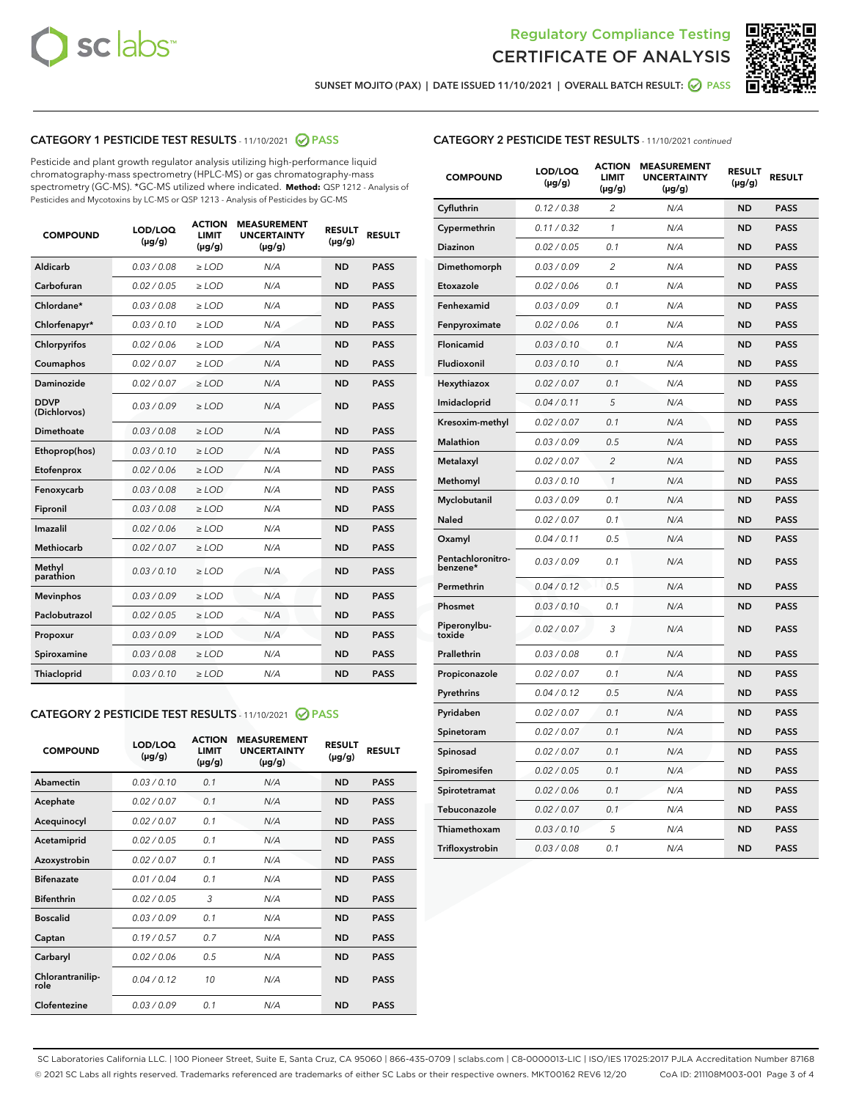



SUNSET MOJITO (PAX) | DATE ISSUED 11/10/2021 | OVERALL BATCH RESULT:  $\bigcirc$  PASS

# CATEGORY 1 PESTICIDE TEST RESULTS - 11/10/2021 2 PASS

Pesticide and plant growth regulator analysis utilizing high-performance liquid chromatography-mass spectrometry (HPLC-MS) or gas chromatography-mass spectrometry (GC-MS). \*GC-MS utilized where indicated. **Method:** QSP 1212 - Analysis of Pesticides and Mycotoxins by LC-MS or QSP 1213 - Analysis of Pesticides by GC-MS

| <b>COMPOUND</b>             | LOD/LOQ<br>$(\mu g/g)$ | <b>ACTION</b><br><b>LIMIT</b><br>$(\mu q/q)$ | <b>MEASUREMENT</b><br><b>UNCERTAINTY</b><br>$(\mu g/g)$ | <b>RESULT</b><br>$(\mu g/g)$ | <b>RESULT</b> |
|-----------------------------|------------------------|----------------------------------------------|---------------------------------------------------------|------------------------------|---------------|
| Aldicarb                    | 0.03 / 0.08            | $\ge$ LOD                                    | N/A                                                     | <b>ND</b>                    | <b>PASS</b>   |
| Carbofuran                  | 0.02 / 0.05            | $\geq$ LOD                                   | N/A                                                     | <b>ND</b>                    | <b>PASS</b>   |
| Chlordane*                  | 0.03 / 0.08            | $\ge$ LOD                                    | N/A                                                     | <b>ND</b>                    | <b>PASS</b>   |
| Chlorfenapyr*               | 0.03/0.10              | $\geq$ LOD                                   | N/A                                                     | <b>ND</b>                    | <b>PASS</b>   |
| Chlorpyrifos                | 0.02 / 0.06            | $\ge$ LOD                                    | N/A                                                     | <b>ND</b>                    | <b>PASS</b>   |
| Coumaphos                   | 0.02 / 0.07            | $\ge$ LOD                                    | N/A                                                     | <b>ND</b>                    | <b>PASS</b>   |
| Daminozide                  | 0.02 / 0.07            | $\ge$ LOD                                    | N/A                                                     | <b>ND</b>                    | <b>PASS</b>   |
| <b>DDVP</b><br>(Dichlorvos) | 0.03/0.09              | $\ge$ LOD                                    | N/A                                                     | <b>ND</b>                    | <b>PASS</b>   |
| Dimethoate                  | 0.03 / 0.08            | $\ge$ LOD                                    | N/A                                                     | <b>ND</b>                    | <b>PASS</b>   |
| Ethoprop(hos)               | 0.03/0.10              | $\ge$ LOD                                    | N/A                                                     | <b>ND</b>                    | <b>PASS</b>   |
| Etofenprox                  | 0.02/0.06              | $>$ LOD                                      | N/A                                                     | <b>ND</b>                    | <b>PASS</b>   |
| Fenoxycarb                  | 0.03 / 0.08            | $\ge$ LOD                                    | N/A                                                     | <b>ND</b>                    | <b>PASS</b>   |
| Fipronil                    | 0.03/0.08              | $>$ LOD                                      | N/A                                                     | <b>ND</b>                    | <b>PASS</b>   |
| Imazalil                    | 0.02 / 0.06            | $\ge$ LOD                                    | N/A                                                     | <b>ND</b>                    | <b>PASS</b>   |
| Methiocarb                  | 0.02 / 0.07            | $\ge$ LOD                                    | N/A                                                     | <b>ND</b>                    | <b>PASS</b>   |
| Methyl<br>parathion         | 0.03/0.10              | $>$ LOD                                      | N/A                                                     | <b>ND</b>                    | <b>PASS</b>   |
| <b>Mevinphos</b>            | 0.03/0.09              | $>$ LOD                                      | N/A                                                     | <b>ND</b>                    | <b>PASS</b>   |
| Paclobutrazol               | 0.02 / 0.05            | $>$ LOD                                      | N/A                                                     | <b>ND</b>                    | <b>PASS</b>   |
| Propoxur                    | 0.03/0.09              | $\ge$ LOD                                    | N/A                                                     | <b>ND</b>                    | <b>PASS</b>   |
| Spiroxamine                 | 0.03 / 0.08            | $\ge$ LOD                                    | N/A                                                     | <b>ND</b>                    | <b>PASS</b>   |
| Thiacloprid                 | 0.03/0.10              | $\ge$ LOD                                    | N/A                                                     | <b>ND</b>                    | <b>PASS</b>   |

#### CATEGORY 2 PESTICIDE TEST RESULTS - 11/10/2021 @ PASS

| <b>COMPOUND</b>          | LOD/LOQ<br>$(\mu g/g)$ | <b>ACTION</b><br><b>LIMIT</b><br>$(\mu g/g)$ | <b>MEASUREMENT</b><br><b>UNCERTAINTY</b><br>$(\mu g/g)$ | <b>RESULT</b><br>$(\mu g/g)$ | <b>RESULT</b> |
|--------------------------|------------------------|----------------------------------------------|---------------------------------------------------------|------------------------------|---------------|
| Abamectin                | 0.03/0.10              | 0.1                                          | N/A                                                     | <b>ND</b>                    | <b>PASS</b>   |
| Acephate                 | 0.02/0.07              | 0.1                                          | N/A                                                     | <b>ND</b>                    | <b>PASS</b>   |
| Acequinocyl              | 0.02/0.07              | 0.1                                          | N/A                                                     | <b>ND</b>                    | <b>PASS</b>   |
| Acetamiprid              | 0.02/0.05              | 0.1                                          | N/A                                                     | <b>ND</b>                    | <b>PASS</b>   |
| Azoxystrobin             | 0.02/0.07              | 0.1                                          | N/A                                                     | <b>ND</b>                    | <b>PASS</b>   |
| <b>Bifenazate</b>        | 0.01/0.04              | 0.1                                          | N/A                                                     | <b>ND</b>                    | <b>PASS</b>   |
| <b>Bifenthrin</b>        | 0.02 / 0.05            | 3                                            | N/A                                                     | <b>ND</b>                    | <b>PASS</b>   |
| <b>Boscalid</b>          | 0.03/0.09              | 0.1                                          | N/A                                                     | <b>ND</b>                    | <b>PASS</b>   |
| Captan                   | 0.19/0.57              | 0.7                                          | N/A                                                     | <b>ND</b>                    | <b>PASS</b>   |
| Carbaryl                 | 0.02/0.06              | 0.5                                          | N/A                                                     | <b>ND</b>                    | <b>PASS</b>   |
| Chlorantranilip-<br>role | 0.04/0.12              | 10                                           | N/A                                                     | <b>ND</b>                    | <b>PASS</b>   |
| Clofentezine             | 0.03/0.09              | 0.1                                          | N/A                                                     | <b>ND</b>                    | <b>PASS</b>   |

| <b>COMPOUND</b>               | LOD/LOQ<br>$(\mu g/g)$ | <b>ACTION</b><br>LIMIT<br>(µg/g) | <b>MEASUREMENT</b><br><b>UNCERTAINTY</b><br>(µg/g) | <b>RESULT</b><br>$(\mu g/g)$ | <b>RESULT</b> |
|-------------------------------|------------------------|----------------------------------|----------------------------------------------------|------------------------------|---------------|
| Cyfluthrin                    | 0.12 / 0.38            | $\overline{c}$                   | N/A                                                | ND                           | <b>PASS</b>   |
| Cypermethrin                  | 0.11 / 0.32            | 1                                | N/A                                                | <b>ND</b>                    | <b>PASS</b>   |
| Diazinon                      | 0.02 / 0.05            | 0.1                              | N/A                                                | <b>ND</b>                    | <b>PASS</b>   |
| Dimethomorph                  | 0.03 / 0.09            | 2                                | N/A                                                | <b>ND</b>                    | <b>PASS</b>   |
| Etoxazole                     | 0.02 / 0.06            | 0.1                              | N/A                                                | <b>ND</b>                    | <b>PASS</b>   |
| Fenhexamid                    | 0.03 / 0.09            | 0.1                              | N/A                                                | <b>ND</b>                    | <b>PASS</b>   |
| Fenpyroximate                 | 0.02 / 0.06            | 0.1                              | N/A                                                | <b>ND</b>                    | <b>PASS</b>   |
| Flonicamid                    | 0.03 / 0.10            | 0.1                              | N/A                                                | <b>ND</b>                    | <b>PASS</b>   |
| Fludioxonil                   | 0.03/0.10              | 0.1                              | N/A                                                | <b>ND</b>                    | <b>PASS</b>   |
| Hexythiazox                   | 0.02 / 0.07            | 0.1                              | N/A                                                | <b>ND</b>                    | <b>PASS</b>   |
| Imidacloprid                  | 0.04 / 0.11            | 5                                | N/A                                                | <b>ND</b>                    | <b>PASS</b>   |
| Kresoxim-methyl               | 0.02 / 0.07            | 0.1                              | N/A                                                | <b>ND</b>                    | <b>PASS</b>   |
| <b>Malathion</b>              | 0.03 / 0.09            | 0.5                              | N/A                                                | <b>ND</b>                    | <b>PASS</b>   |
| Metalaxyl                     | 0.02 / 0.07            | $\overline{c}$                   | N/A                                                | <b>ND</b>                    | <b>PASS</b>   |
| Methomyl                      | 0.03 / 0.10            | $\mathcal{I}$                    | N/A                                                | <b>ND</b>                    | <b>PASS</b>   |
| Myclobutanil                  | 0.03 / 0.09            | 0.1                              | N/A                                                | <b>ND</b>                    | <b>PASS</b>   |
| Naled                         | 0.02 / 0.07            | 0.1                              | N/A                                                | <b>ND</b>                    | <b>PASS</b>   |
| Oxamyl                        | 0.04 / 0.11            | 0.5                              | N/A                                                | <b>ND</b>                    | <b>PASS</b>   |
| Pentachloronitro-<br>benzene* | 0.03/0.09              | 0.1                              | N/A                                                | <b>ND</b>                    | <b>PASS</b>   |
| Permethrin                    | 0.04 / 0.12            | 0.5                              | N/A                                                | <b>ND</b>                    | <b>PASS</b>   |
| Phosmet                       | 0.03 / 0.10            | 0.1                              | N/A                                                | <b>ND</b>                    | <b>PASS</b>   |
| Piperonylbu-<br>toxide        | 0.02 / 0.07            | 3                                | N/A                                                | <b>ND</b>                    | <b>PASS</b>   |
| Prallethrin                   | 0.03 / 0.08            | 0.1                              | N/A                                                | <b>ND</b>                    | <b>PASS</b>   |
| Propiconazole                 | 0.02 / 0.07            | 0.1                              | N/A                                                | <b>ND</b>                    | <b>PASS</b>   |
| Pyrethrins                    | 0.04 / 0.12            | 0.5                              | N/A                                                | <b>ND</b>                    | <b>PASS</b>   |
| Pyridaben                     | 0.02 / 0.07            | 0.1                              | N/A                                                | <b>ND</b>                    | <b>PASS</b>   |
| Spinetoram                    | 0.02 / 0.07            | 0.1                              | N/A                                                | ND                           | <b>PASS</b>   |
| Spinosad                      | 0.02 / 0.07            | 0.1                              | N/A                                                | <b>ND</b>                    | <b>PASS</b>   |
| Spiromesifen                  | 0.02 / 0.05            | 0.1                              | N/A                                                | <b>ND</b>                    | <b>PASS</b>   |
| Spirotetramat                 | 0.02 / 0.06            | 0.1                              | N/A                                                | <b>ND</b>                    | <b>PASS</b>   |
| Tebuconazole                  | 0.02 / 0.07            | 0.1                              | N/A                                                | ND                           | <b>PASS</b>   |
| Thiamethoxam                  | 0.03 / 0.10            | 5                                | N/A                                                | <b>ND</b>                    | <b>PASS</b>   |
| Trifloxystrobin               | 0.03 / 0.08            | 0.1                              | N/A                                                | <b>ND</b>                    | <b>PASS</b>   |

SC Laboratories California LLC. | 100 Pioneer Street, Suite E, Santa Cruz, CA 95060 | 866-435-0709 | sclabs.com | C8-0000013-LIC | ISO/IES 17025:2017 PJLA Accreditation Number 87168 © 2021 SC Labs all rights reserved. Trademarks referenced are trademarks of either SC Labs or their respective owners. MKT00162 REV6 12/20 CoA ID: 211108M003-001 Page 3 of 4